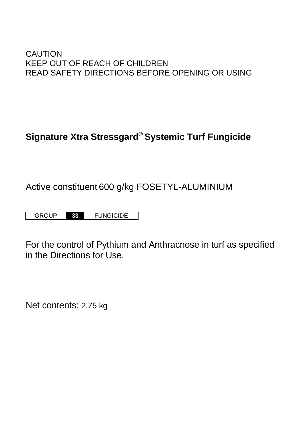# CAUTION KEEP OUT OF REACH OF CHILDREN READ SAFETY DIRECTIONS BEFORE OPENING OR USING

# **Signature Xtra Stressgard® Systemic Turf Fungicide**

# Active constituent 600 g/kg FOSETYL-ALUMINIUM

GROUP **33** FUNGICIDE

For the control of Pythium and Anthracnose in turf as specified in the Directions for Use.

Net contents: 2.75 kg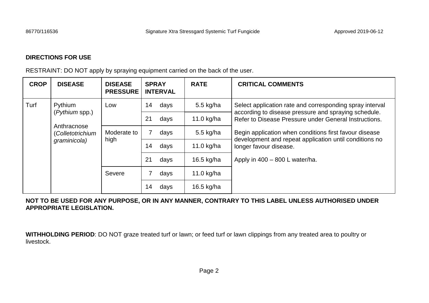# **DIRECTIONS FOR USE**

RESTRAINT: DO NOT apply by spraying equipment carried on the back of the user.

| <b>CROP</b> | <b>DISEASE</b>                                                               | <b>DISEASE</b><br><b>PRESSURE</b> | <b>SPRAY</b><br><b>INTERVAL</b> | <b>RATE</b>  | <b>CRITICAL COMMENTS</b>                                                                                                                                                                                                                                                                                                                                  |
|-------------|------------------------------------------------------------------------------|-----------------------------------|---------------------------------|--------------|-----------------------------------------------------------------------------------------------------------------------------------------------------------------------------------------------------------------------------------------------------------------------------------------------------------------------------------------------------------|
| Turf        | Pythium<br>(Pythium spp.)<br>Anthracnose<br>(Colletotrichium<br>graminicola) | Low                               | 14<br>days                      | 5.5 kg/ha    | Select application rate and corresponding spray interval<br>according to disease pressure and spraying schedule.<br>Refer to Disease Pressure under General Instructions.<br>Begin application when conditions first favour disease<br>development and repeat application until conditions no<br>longer favour disease.<br>Apply in 400 - 800 L water/ha. |
|             |                                                                              |                                   | 21<br>days                      | 11.0 $kg/ha$ |                                                                                                                                                                                                                                                                                                                                                           |
|             |                                                                              | Moderate to<br>high               | days                            | 5.5 kg/ha    |                                                                                                                                                                                                                                                                                                                                                           |
|             |                                                                              |                                   | 14<br>days                      | 11.0 kg/ha   |                                                                                                                                                                                                                                                                                                                                                           |
|             |                                                                              |                                   | 21<br>days                      | 16.5 kg/ha   |                                                                                                                                                                                                                                                                                                                                                           |
|             |                                                                              | Severe                            | days                            | 11.0 $kg/ha$ |                                                                                                                                                                                                                                                                                                                                                           |
|             |                                                                              |                                   | 14<br>days                      | 16.5 kg/ha   |                                                                                                                                                                                                                                                                                                                                                           |

# **NOT TO BE USED FOR ANY PURPOSE, OR IN ANY MANNER, CONTRARY TO THIS LABEL UNLESS AUTHORISED UNDER APPROPRIATE LEGISLATION.**

**WITHHOLDING PERIOD**: DO NOT graze treated turf or lawn; or feed turf or lawn clippings from any treated area to poultry or livestock.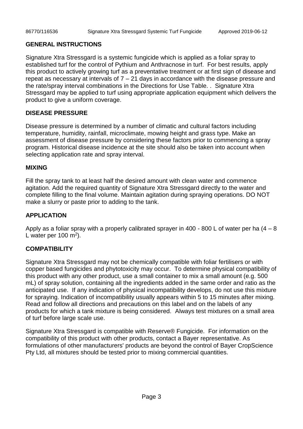#### **GENERAL INSTRUCTIONS**

Signature Xtra Stressgard is a systemic fungicide which is applied as a foliar spray to established turf for the control of Pythium and Anthracnose in turf. For best results, apply this product to actively growing turf as a preventative treatment or at first sign of disease and repeat as necessary at intervals of  $7 - 21$  days in accordance with the disease pressure and the rate/spray interval combinations in the Directions for Use Table. . Signature Xtra Stressgard may be applied to turf using appropriate application equipment which delivers the product to give a uniform coverage.

# **DISEASE PRESSURE**

Disease pressure is determined by a number of climatic and cultural factors including temperature, humidity, rainfall, microclimate, mowing height and grass type. Make an assessment of disease pressure by considering these factors prior to commencing a spray program. Historical disease incidence at the site should also be taken into account when selecting application rate and spray interval.

### **MIXING**

Fill the spray tank to at least half the desired amount with clean water and commence agitation. Add the required quantity of Signature Xtra Stressgard directly to the water and complete filling to the final volume. Maintain agitation during spraying operations. DO NOT make a slurry or paste prior to adding to the tank.

# **APPLICATION**

Apply as a foliar spray with a properly calibrated sprayer in 400 - 800 L of water per ha  $(4 - 8)$ L water per 100 m<sup>2</sup>).

# **COMPATIBILITY**

Signature Xtra Stressgard may not be chemically compatible with foliar fertilisers or with copper based fungicides and phytotoxicity may occur. To determine physical compatibility of this product with any other product, use a small container to mix a small amount (e.g. 500 mL) of spray solution, containing all the ingredients added in the same order and ratio as the anticipated use. If any indication of physical incompatibility develops, do not use this mixture for spraying. Indication of incompatibility usually appears within 5 to 15 minutes after mixing. Read and follow all directions and precautions on this label and on the labels of any products for which a tank mixture is being considered. Always test mixtures on a small area of turf before large scale use.

Signature Xtra Stressgard is compatible with Reserve® Fungicide. For information on the compatibility of this product with other products, contact a Bayer representative. As formulations of other manufacturers' products are beyond the control of Bayer CropScience Pty Ltd, all mixtures should be tested prior to mixing commercial quantities.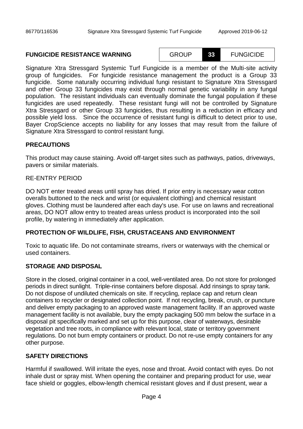#### **FUNGICIDE RESISTANCE WARNING** GROUP **33** FUNGICIDE

Signature Xtra Stressgard Systemic Turf Fungicide is a member of the Multi-site activity group of fungicides. For fungicide resistance management the product is a Group 33 fungicide. Some naturally occurring individual fungi resistant to Signature Xtra Stressgard and other Group 33 fungicides may exist through normal genetic variability in any fungal population. The resistant individuals can eventually dominate the fungal population if these fungicides are used repeatedly. These resistant fungi will not be controlled by Signature Xtra Stressgard or other Group 33 fungicides, thus resulting in a reduction in efficacy and possible yield loss. Since the occurrence of resistant fungi is difficult to detect prior to use, Bayer CropScience accepts no liability for any losses that may result from the failure of Signature Xtra Stressgard to control resistant fungi.

## **PRECAUTIONS**

This product may cause staining. Avoid off-target sites such as pathways, patios, driveways, pavers or similar materials.

#### RE-ENTRY PERIOD

DO NOT enter treated areas until spray has dried. If prior entry is necessary wear cotton overalls buttoned to the neck and wrist (or equivalent clothing) and chemical resistant gloves. Clothing must be laundered after each day's use. For use on lawns and recreational areas, DO NOT allow entry to treated areas unless product is incorporated into the soil profile, by watering in immediately after application.

#### **PROTECTION OF WILDLIFE, FISH, CRUSTACEANS AND ENVIRONMENT**

Toxic to aquatic life. Do not contaminate streams, rivers or waterways with the chemical or used containers.

#### **STORAGE AND DISPOSAL**

Store in the closed, original container in a cool, well-ventilated area. Do not store for prolonged periods in direct sunlight. Triple-rinse containers before disposal. Add rinsings to spray tank. Do not dispose of undiluted chemicals on site. If recycling, replace cap and return clean containers to recycler or designated collection point. If not recycling, break, crush, or puncture and deliver empty packaging to an approved waste management facility. If an approved waste management facility is not available, bury the empty packaging 500 mm below the surface in a disposal pit specifically marked and set up for this purpose, clear of waterways, desirable vegetation and tree roots, in compliance with relevant local, state or territory government regulations. Do not burn empty containers or product. Do not re-use empty containers for any other purpose.

### **SAFETY DIRECTIONS**

Harmful if swallowed. Will irritate the eyes, nose and throat. Avoid contact with eyes. Do not inhale dust or spray mist. When opening the container and preparing product for use, wear face shield or goggles, elbow-length chemical resistant gloves and if dust present, wear a